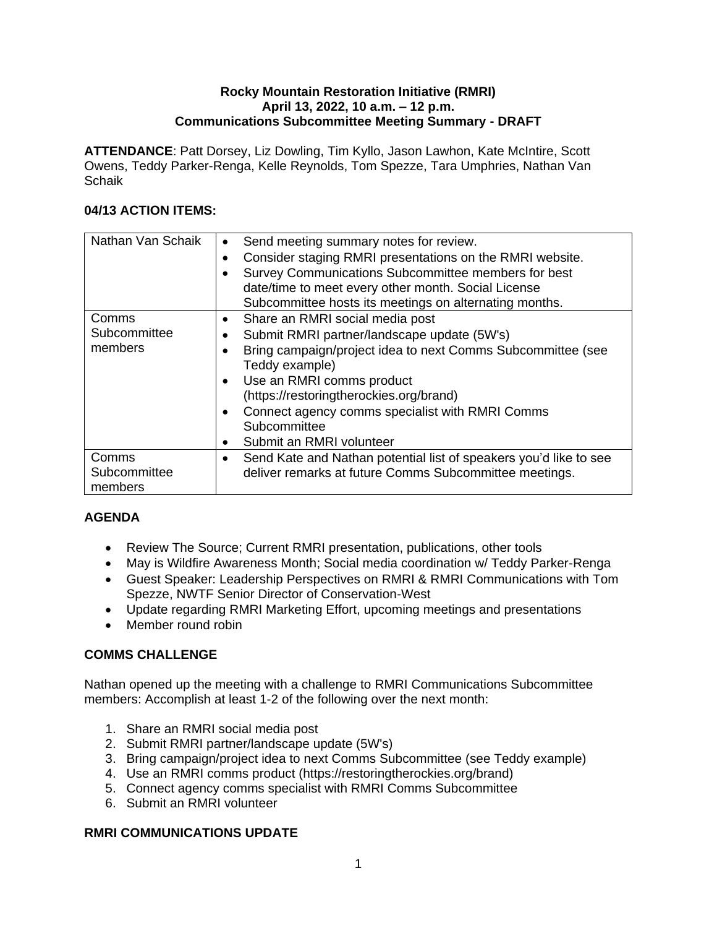#### **Rocky Mountain Restoration Initiative (RMRI) April 13, 2022, 10 a.m. – 12 p.m. Communications Subcommittee Meeting Summary - DRAFT**

**ATTENDANCE**: Patt Dorsey, Liz Dowling, Tim Kyllo, Jason Lawhon, Kate McIntire, Scott Owens, Teddy Parker-Renga, Kelle Reynolds, Tom Spezze, Tara Umphries, Nathan Van Schaik

### **04/13 ACTION ITEMS:**

| Nathan Van Schaik                | Send meeting summary notes for review.<br>$\bullet$<br>Consider staging RMRI presentations on the RMRI website.<br>$\bullet$<br>Survey Communications Subcommittee members for best<br>date/time to meet every other month. Social License<br>Subcommittee hosts its meetings on alternating months.                                                          |
|----------------------------------|---------------------------------------------------------------------------------------------------------------------------------------------------------------------------------------------------------------------------------------------------------------------------------------------------------------------------------------------------------------|
| Comms<br>Subcommittee<br>members | Share an RMRI social media post<br>٠<br>Submit RMRI partner/landscape update (5W's)<br>Bring campaign/project idea to next Comms Subcommittee (see<br>Teddy example)<br>Use an RMRI comms product<br>$\bullet$<br>(https://restoringtherockies.org/brand)<br>Connect agency comms specialist with RMRI Comms<br>Subcommittee<br>Submit an RMRI volunteer<br>٠ |
| Comms<br>Subcommittee<br>members | Send Kate and Nathan potential list of speakers you'd like to see<br>$\bullet$<br>deliver remarks at future Comms Subcommittee meetings.                                                                                                                                                                                                                      |

# **AGENDA**

- Review The Source; Current RMRI presentation, publications, other tools
- May is Wildfire Awareness Month; Social media coordination w/ Teddy Parker-Renga
- Guest Speaker: Leadership Perspectives on RMRI & RMRI Communications with Tom Spezze, NWTF Senior Director of Conservation-West
- Update regarding RMRI Marketing Effort, upcoming meetings and presentations
- Member round robin

### **COMMS CHALLENGE**

Nathan opened up the meeting with a challenge to RMRI Communications Subcommittee members: Accomplish at least 1-2 of the following over the next month:

- 1. Share an RMRI social media post
- 2. Submit RMRI partner/landscape update (5W's)
- 3. Bring campaign/project idea to next Comms Subcommittee (see Teddy example)
- 4. Use an RMRI comms product (https://restoringtherockies.org/brand)
- 5. Connect agency comms specialist with RMRI Comms Subcommittee
- 6. Submit an RMRI volunteer

### **RMRI COMMUNICATIONS UPDATE**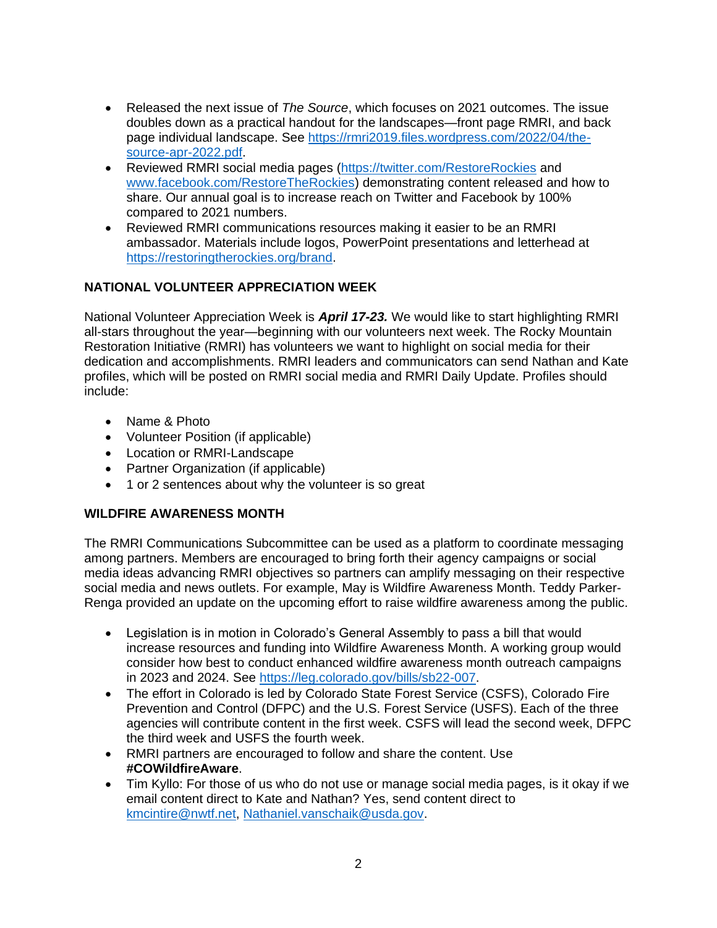- Released the next issue of *The Source*, which focuses on 2021 outcomes. The issue doubles down as a practical handout for the landscapes—front page RMRI, and back page individual landscape. See [https://rmri2019.files.wordpress.com/2022/04/the](https://rmri2019.files.wordpress.com/2022/04/the-source-apr-2022.pdf)[source-apr-2022.pdf.](https://rmri2019.files.wordpress.com/2022/04/the-source-apr-2022.pdf)
- Reviewed RMRI social media pages [\(https://twitter.com/RestoreRockies](https://twitter.com/RestoreRockies) and [www.facebook.com/RestoreTheRockies\)](http://www.facebook.com/RestoreTheRockies) demonstrating content released and how to share. Our annual goal is to increase reach on Twitter and Facebook by 100% compared to 2021 numbers.
- Reviewed RMRI communications resources making it easier to be an RMRI ambassador. Materials include logos, PowerPoint presentations and letterhead at [https://restoringtherockies.org/brand.](https://restoringtherockies.org/brand)

## **NATIONAL VOLUNTEER APPRECIATION WEEK**

National Volunteer Appreciation Week is *April 17-23.* We would like to start highlighting RMRI all-stars throughout the year—beginning with our volunteers next week. The Rocky Mountain Restoration Initiative (RMRI) has volunteers we want to highlight on social media for their dedication and accomplishments. RMRI leaders and communicators can send Nathan and Kate profiles, which will be posted on RMRI social media and RMRI Daily Update. Profiles should include:

- Name & Photo
- Volunteer Position (if applicable)
- Location or RMRI-Landscape
- Partner Organization (if applicable)
- 1 or 2 sentences about why the volunteer is so great

### **WILDFIRE AWARENESS MONTH**

The RMRI Communications Subcommittee can be used as a platform to coordinate messaging among partners. Members are encouraged to bring forth their agency campaigns or social media ideas advancing RMRI objectives so partners can amplify messaging on their respective social media and news outlets. For example, May is Wildfire Awareness Month. Teddy Parker-Renga provided an update on the upcoming effort to raise wildfire awareness among the public.

- Legislation is in motion in Colorado's General Assembly to pass a bill that would increase resources and funding into Wildfire Awareness Month. A working group would consider how best to conduct enhanced wildfire awareness month outreach campaigns in 2023 and 2024. See [https://leg.colorado.gov/bills/sb22-007.](https://leg.colorado.gov/bills/sb22-007)
- The effort in Colorado is led by Colorado State Forest Service (CSFS), Colorado Fire Prevention and Control (DFPC) and the U.S. Forest Service (USFS). Each of the three agencies will contribute content in the first week. CSFS will lead the second week, DFPC the third week and USFS the fourth week.
- RMRI partners are encouraged to follow and share the content. Use **#COWildfireAware**.
- Tim Kyllo: For those of us who do not use or manage social media pages, is it okay if we email content direct to Kate and Nathan? Yes, send content direct to [kmcintire@nwtf.net,](mailto:kmcintire@nwtf.net) [Nathaniel.vanschaik@usda.gov.](mailto:Nathaniel.vanschaik@usda.gov)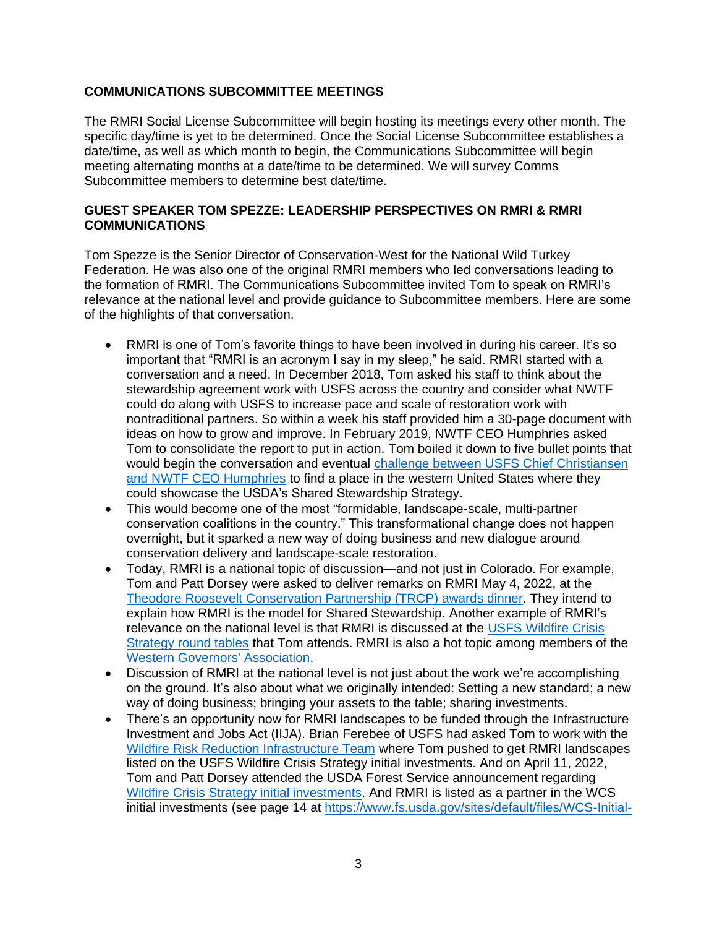### **COMMUNICATIONS SUBCOMMITTEE MEETINGS**

The RMRI Social License Subcommittee will begin hosting its meetings every other month. The specific day/time is yet to be determined. Once the Social License Subcommittee establishes a date/time, as well as which month to begin, the Communications Subcommittee will begin meeting alternating months at a date/time to be determined. We will survey Comms Subcommittee members to determine best date/time.

#### **GUEST SPEAKER TOM SPEZZE: LEADERSHIP PERSPECTIVES ON RMRI & RMRI COMMUNICATIONS**

Tom Spezze is the Senior Director of Conservation-West for the National Wild Turkey Federation. He was also one of the original RMRI members who led conversations leading to the formation of RMRI. The Communications Subcommittee invited Tom to speak on RMRI's relevance at the national level and provide guidance to Subcommittee members. Here are some of the highlights of that conversation.

- RMRI is one of Tom's favorite things to have been involved in during his career. It's so important that "RMRI is an acronym I say in my sleep," he said. RMRI started with a conversation and a need. In December 2018, Tom asked his staff to think about the stewardship agreement work with USFS across the country and consider what NWTF could do along with USFS to increase pace and scale of restoration work with nontraditional partners. So within a week his staff provided him a 30-page document with ideas on how to grow and improve. In February 2019, NWTF CEO Humphries asked Tom to consolidate the report to put in action. Tom boiled it down to five bullet points that would begin the conversation and eventual challenge between USFS Chief Christiansen [and NWTF CEO Humphries](https://www.nwtf.org/about/state-news/rmri-spotlighted-nashville-convention) to find a place in the western United States where they could showcase the USDA's Shared Stewardship Strategy.
- This would become one of the most "formidable, landscape-scale, multi-partner conservation coalitions in the country." This transformational change does not happen overnight, but it sparked a new way of doing business and new dialogue around conservation delivery and landscape-scale restoration.
- Today, RMRI is a national topic of discussion—and not just in Colorado. For example, Tom and Patt Dorsey were asked to deliver remarks on RMRI May 4, 2022, at the [Theodore Roosevelt Conservation Partnership \(TRCP\) awards dinner.](https://e.givesmart.com/events/nOF/) They intend to explain how RMRI is the model for Shared Stewardship. Another example of RMRI's relevance on the national level is that RMRI is discussed at the [USFS Wildfire Crisis](https://www.nationalforests.org/collaboration-resources/wildfire-crisis-strategy-roundtables)  [Strategy round tables](https://www.nationalforests.org/collaboration-resources/wildfire-crisis-strategy-roundtables) that Tom attends. RMRI is also a hot topic among members of the [Western Governors' Association.](https://westgov.org/)
- Discussion of RMRI at the national level is not just about the work we're accomplishing on the ground. It's also about what we originally intended: Setting a new standard; a new way of doing business; bringing your assets to the table; sharing investments.
- There's an opportunity now for RMRI landscapes to be funded through the Infrastructure Investment and Jobs Act (IIJA). Brian Ferebee of USFS had asked Tom to work with the [Wildfire Risk Reduction Infrastructure Team](https://www.fs.usda.gov/inside-fs/leadership/cycle-fire-developing-our-10-year-strategy) where Tom pushed to get RMRI landscapes listed on the USFS Wildfire Crisis Strategy initial investments. And on April 11, 2022, Tom and Patt Dorsey attended the USDA Forest Service announcement regarding [Wildfire Crisis Strategy initial investments.](https://www.usda.gov/media/press-releases/2022/04/11/biden-administration-announces-bipartisan-infrastructure-law?fbclid=IwAR1fNgc0PUN3dl_4QNtArm_poFxwIC8w8B2Ju8BzumNINaOqJdCdH_H0zBs) And RMRI is listed as a partner in the WCS initial investments (see page 14 at [https://www.fs.usda.gov/sites/default/files/WCS-Initial-](https://www.fs.usda.gov/sites/default/files/WCS-Initial-Landscape-Investments.pdf)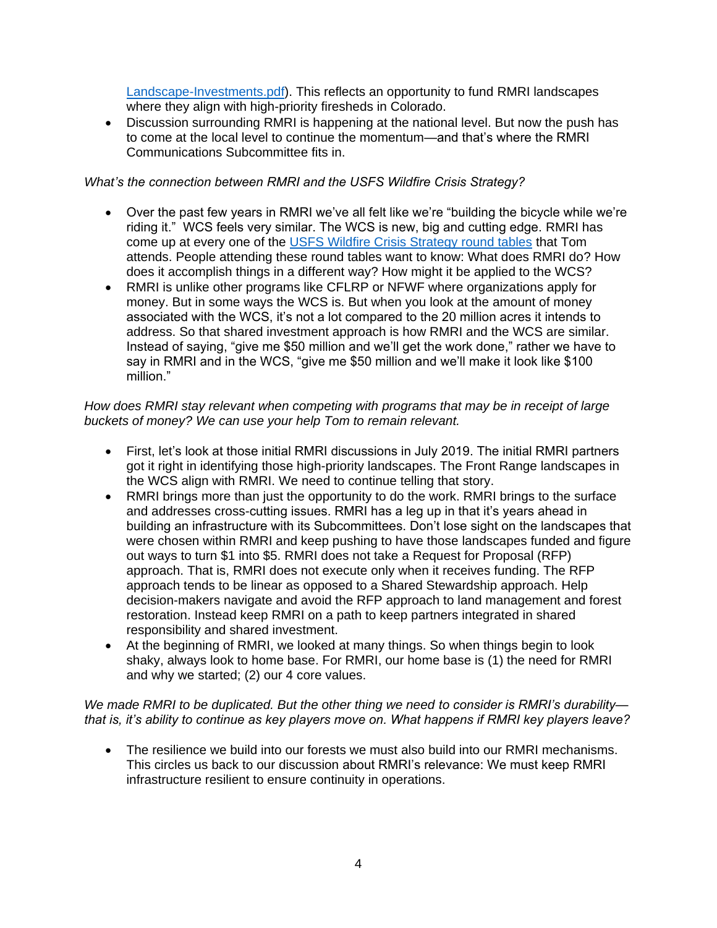[Landscape-Investments.pdf\)](https://www.fs.usda.gov/sites/default/files/WCS-Initial-Landscape-Investments.pdf). This reflects an opportunity to fund RMRI landscapes where they align with high-priority firesheds in Colorado.

• Discussion surrounding RMRI is happening at the national level. But now the push has to come at the local level to continue the momentum—and that's where the RMRI Communications Subcommittee fits in.

#### *What's the connection between RMRI and the USFS Wildfire Crisis Strategy?*

- Over the past few years in RMRI we've all felt like we're "building the bicycle while we're riding it." WCS feels very similar. The WCS is new, big and cutting edge. RMRI has come up at every one of the [USFS Wildfire Crisis Strategy round tables](https://www.nationalforests.org/collaboration-resources/wildfire-crisis-strategy-roundtables) that Tom attends. People attending these round tables want to know: What does RMRI do? How does it accomplish things in a different way? How might it be applied to the WCS?
- RMRI is unlike other programs like CFLRP or NFWF where organizations apply for money. But in some ways the WCS is. But when you look at the amount of money associated with the WCS, it's not a lot compared to the 20 million acres it intends to address. So that shared investment approach is how RMRI and the WCS are similar. Instead of saying, "give me \$50 million and we'll get the work done," rather we have to say in RMRI and in the WCS, "give me \$50 million and we'll make it look like \$100 million."

#### *How does RMRI stay relevant when competing with programs that may be in receipt of large buckets of money? We can use your help Tom to remain relevant.*

- First, let's look at those initial RMRI discussions in July 2019. The initial RMRI partners got it right in identifying those high-priority landscapes. The Front Range landscapes in the WCS align with RMRI. We need to continue telling that story.
- RMRI brings more than just the opportunity to do the work. RMRI brings to the surface and addresses cross-cutting issues. RMRI has a leg up in that it's years ahead in building an infrastructure with its Subcommittees. Don't lose sight on the landscapes that were chosen within RMRI and keep pushing to have those landscapes funded and figure out ways to turn \$1 into \$5. RMRI does not take a Request for Proposal (RFP) approach. That is, RMRI does not execute only when it receives funding. The RFP approach tends to be linear as opposed to a Shared Stewardship approach. Help decision-makers navigate and avoid the RFP approach to land management and forest restoration. Instead keep RMRI on a path to keep partners integrated in shared responsibility and shared investment.
- At the beginning of RMRI, we looked at many things. So when things begin to look shaky, always look to home base. For RMRI, our home base is (1) the need for RMRI and why we started; (2) our 4 core values.

#### *We made RMRI to be duplicated. But the other thing we need to consider is RMRI's durability that is, it's ability to continue as key players move on. What happens if RMRI key players leave?*

• The resilience we build into our forests we must also build into our RMRI mechanisms. This circles us back to our discussion about RMRI's relevance: We must keep RMRI infrastructure resilient to ensure continuity in operations.